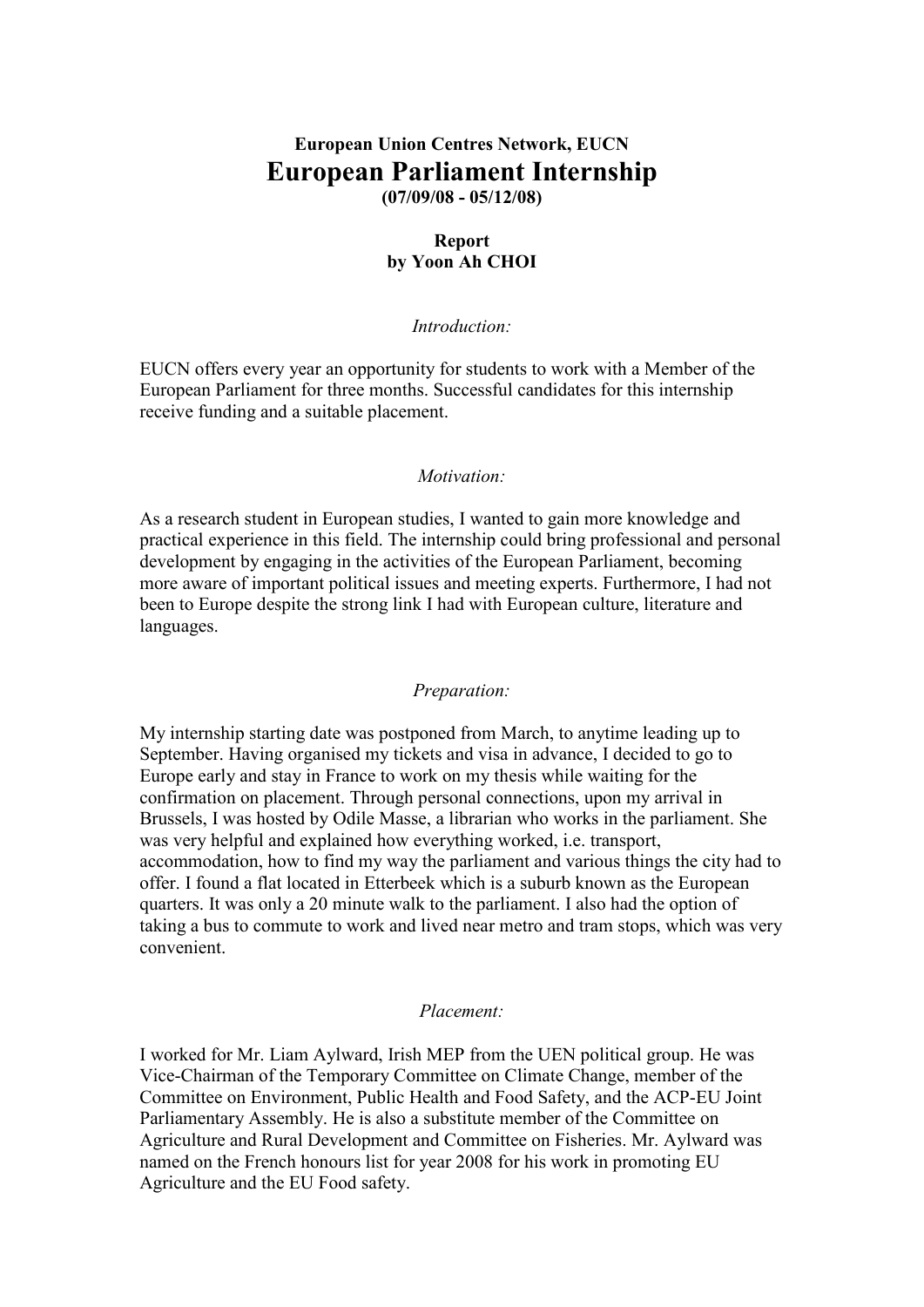# **European Union Centres Network, EUCN European Parliament Internship (07/09/08 - 05/12/08)**

### **Report by Yoon Ah CHOI**

#### *Introduction:*

EUCN offers every year an opportunity for students to work with a Member of the European Parliament for three months. Successful candidates for this internship receive funding and a suitable placement.

#### *Motivation:*

As a research student in European studies, I wanted to gain more knowledge and practical experience in this field. The internship could bring professional and personal development by engaging in the activities of the European Parliament, becoming more aware of important political issues and meeting experts. Furthermore, I had not been to Europe despite the strong link I had with European culture, literature and languages.

#### *Preparation:*

My internship starting date was postponed from March, to anytime leading up to September. Having organised my tickets and visa in advance, I decided to go to Europe early and stay in France to work on my thesis while waiting for the confirmation on placement. Through personal connections, upon my arrival in Brussels, I was hosted by Odile Masse, a librarian who works in the parliament. She was very helpful and explained how everything worked, i.e. transport, accommodation, how to find my way the parliament and various things the city had to offer. I found a flat located in Etterbeek which is a suburb known as the European quarters. It was only a 20 minute walk to the parliament. I also had the option of taking a bus to commute to work and lived near metro and tram stops, which was very convenient.

#### *Placement:*

I worked for Mr. Liam Aylward, Irish MEP from the UEN political group. He was Vice-Chairman of the Temporary Committee on Climate Change, member of the Committee on Environment, Public Health and Food Safety, and the ACP-EU Joint Parliamentary Assembly. He is also a substitute member of the Committee on Agriculture and Rural Development and Committee on Fisheries. Mr. Aylward was named on the French honours list for year 2008 for his work in promoting EU Agriculture and the EU Food safety.